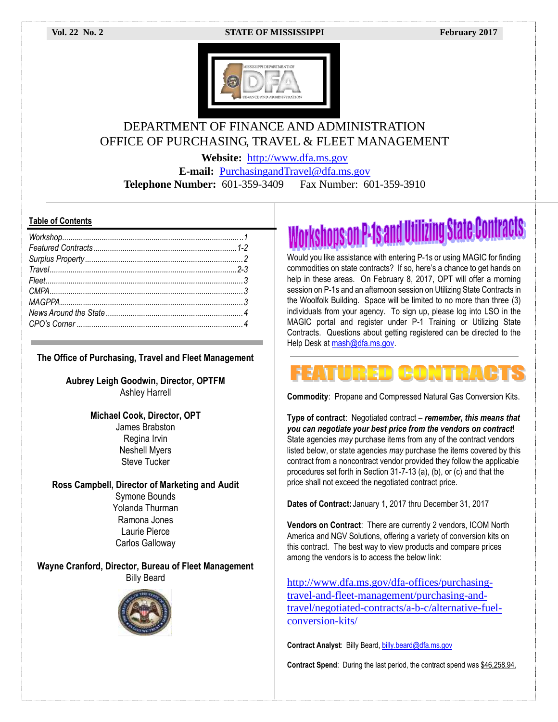### **Vol. 22 No. 2 STATE OF MISSISSIPPI February 2017**



# DEPARTMENT OF FINANCE AND ADMINISTRATION OFFICE OF PURCHASING, TRAVEL & FLEET MANAGEMENT

**Website:** [http://www.dfa.ms.gov](http://www.dfa.ms.gov/)

**E-mail:** [PurchasingandTravel@dfa.ms.gov](mailto:PurchasingandTravel@dfa.ms.gov) **Telephone Number:** 601-359-3409 Fax Number: 601-359-3910

# **Table of Contents**

**The Office of Purchasing, Travel and Fleet Management**

**Aubrey Leigh Goodwin, Director, OPTFM** Ashley Harrell

> **Michael Cook, Director, OPT** James Brabston Regina Irvin Neshell Myers Steve Tucker

**Ross Campbell, Director of Marketing and Audit** Symone Bounds Yolanda Thurman Ramona Jones Laurie Pierce Carlos Galloway

**Wayne Cranford, Director, Bureau of Fleet Management** Billy Beard



# **Workshops on P-1s and Utilizing State Contracts**

Would you like assistance with entering P-1s or using MAGIC for finding commodities on state contracts? If so, here's a chance to get hands on help in these areas. On February 8, 2017, OPT will offer a morning session on P-1s and an afternoon session on Utilizing State Contracts in the Woolfolk Building. Space will be limited to no more than three (3) individuals from your agency. To sign up, please log into LSO in the MAGIC portal and register under P-1 Training or Utilizing State Contracts. Questions about getting registered can be directed to the Help Desk at [mash@dfa.ms.gov.](mailto:mash@dfa.ms.gov)

# URED GONDI

**Commodity**: Propane and Compressed Natural Gas Conversion Kits.

**Type of contract**: Negotiated contract – *remember, this means that you can negotiate your best price from the vendors on contract*! State agencies *may* purchase items from any of the contract vendors listed below, or state agencies *may* purchase the items covered by this contract from a noncontract vendor provided they follow the applicable procedures set forth in Section 31-7-13 (a), (b), or (c) and that the price shall not exceed the negotiated contract price.

**Dates of Contract:**January 1, 2017 thru December 31, 2017

**Vendors on Contract**: There are currently 2 vendors, ICOM North America and NGV Solutions, offering a variety of conversion kits on this contract. The best way to view products and compare prices among the vendors is to access the below link:

[http://www.dfa.ms.gov/dfa-offices/purchasing](http://www.dfa.ms.gov/dfa-offices/purchasing-travel-and-fleet-management/purchasing-and-travel/negotiated-contracts/a-b-c/alternative-fuel-conversion-kits/)[travel-and-fleet-management/purchasing-and](http://www.dfa.ms.gov/dfa-offices/purchasing-travel-and-fleet-management/purchasing-and-travel/negotiated-contracts/a-b-c/alternative-fuel-conversion-kits/)[travel/negotiated-contracts/a-b-c/alternative-fuel](http://www.dfa.ms.gov/dfa-offices/purchasing-travel-and-fleet-management/purchasing-and-travel/negotiated-contracts/a-b-c/alternative-fuel-conversion-kits/)[conversion-kits/](http://www.dfa.ms.gov/dfa-offices/purchasing-travel-and-fleet-management/purchasing-and-travel/negotiated-contracts/a-b-c/alternative-fuel-conversion-kits/)

**Contract Analyst**: Billy Beard[, billy.beard@dfa.ms.gov](mailto:billy.beard@dfa.ms.gov)

**Contract Spend**: During the last period, the contract spend was \$46,258.94.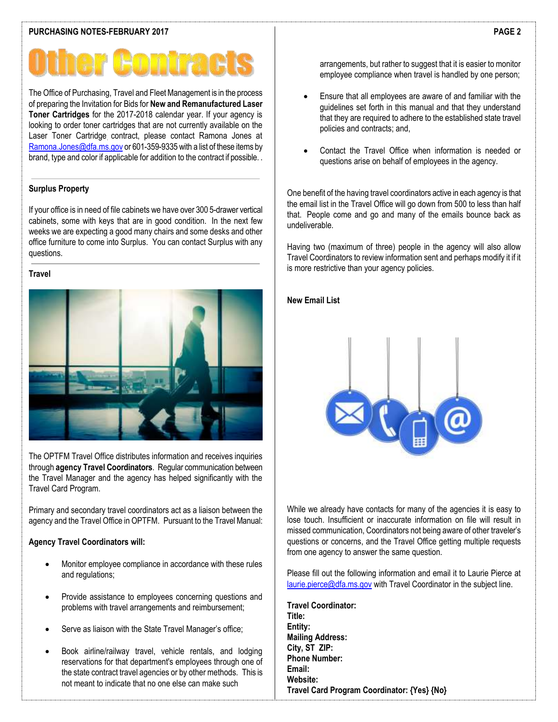The Office of Purchasing, Travel and Fleet Management is in the process of preparing the Invitation for Bids for **New and Remanufactured Laser Toner Cartridges** for the 2017-2018 calendar year. If your agency is looking to order toner cartridges that are not currently available on the Laser Toner Cartridge contract, please contact Ramona Jones at [Ramona.Jones@dfa.ms.gov](mailto:Ramona.Jones@dfa.ms.gov) or 601-359-9335 with a list of these items by brand, type and color if applicable for addition to the contract if possible. .

# **Surplus Property**

If your office is in need of file cabinets we have over 300 5-drawer vertical cabinets, some with keys that are in good condition. In the next few weeks we are expecting a good many chairs and some desks and other office furniture to come into Surplus. You can contact Surplus with any questions.

# **Travel**



The OPTFM Travel Office distributes information and receives inquiries through **agency Travel Coordinators**. Regular communication between the Travel Manager and the agency has helped significantly with the Travel Card Program.

Primary and secondary travel coordinators act as a liaison between the agency and the Travel Office in OPTFM. Pursuant to the Travel Manual:

# **Agency Travel Coordinators will:**

- Monitor employee compliance in accordance with these rules and regulations;
- Provide assistance to employees concerning questions and problems with travel arrangements and reimbursement;
- Serve as liaison with the State Travel Manager's office;
- Book airline/railway travel, vehicle rentals, and lodging reservations for that department's employees through one of the state contract travel agencies or by other methods. This is not meant to indicate that no one else can make such

arrangements, but rather to suggest that it is easier to monitor employee compliance when travel is handled by one person;

- Ensure that all employees are aware of and familiar with the guidelines set forth in this manual and that they understand that they are required to adhere to the established state travel policies and contracts; and,
- Contact the Travel Office when information is needed or questions arise on behalf of employees in the agency.

One benefit of the having travel coordinators active in each agency is that the email list in the Travel Office will go down from 500 to less than half that. People come and go and many of the emails bounce back as undeliverable.

Having two (maximum of three) people in the agency will also allow Travel Coordinators to review information sent and perhaps modify it if it is more restrictive than your agency policies.

# **New Email List**



While we already have contacts for many of the agencies it is easy to lose touch. Insufficient or inaccurate information on file will result in missed communication, Coordinators not being aware of other traveler's questions or concerns, and the Travel Office getting multiple requests from one agency to answer the same question.

Please fill out the following information and email it to Laurie Pierce at [laurie.pierce@dfa.ms.gov](mailto:laurie.pierce@dfa.ms.gov) with Travel Coordinator in the subject line.

**Travel Coordinator: Title: Entity: Mailing Address: City, ST ZIP: Phone Number: Email: Website: Travel Card Program Coordinator: {Yes} {No}**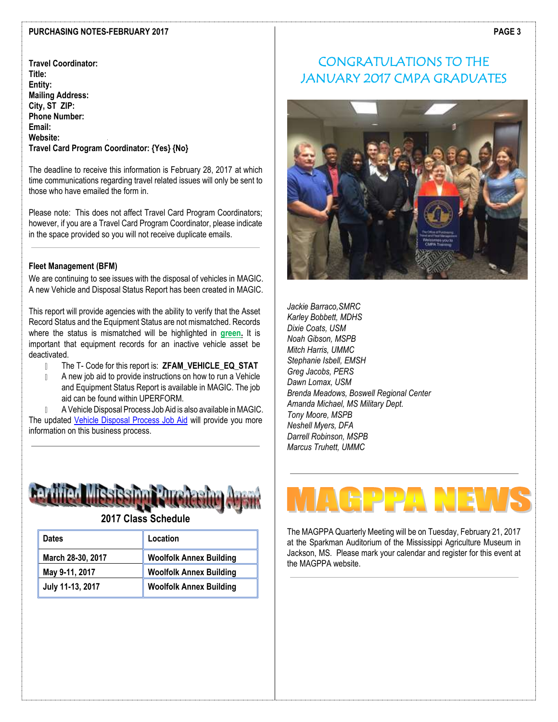### **PURCHASING NOTES-FEBRUARY 2017**

**Travel Coordinator: Title: Entity: Mailing Address: City, ST ZIP: Phone Number: Email: Website: Travel Card Program Coordinator: {Yes} {No}**

The deadline to receive this information is February 28, 2017 at which time communications regarding travel related issues will only be sent to those who have emailed the form in.

Please note: This does not affect Travel Card Program Coordinators; however, if you are a Travel Card Program Coordinator, please indicate in the space provided so you will not receive duplicate emails.

# **Fleet Management (BFM)**

We are continuing to see issues with the disposal of vehicles in MAGIC. A new Vehicle and Disposal Status Report has been created in MAGIC.

This report will provide agencies with the ability to verify that the Asset Record Status and the Equipment Status are not mismatched. Records where the status is mismatched will be highlighted in **green.** It is important that equipment records for an inactive vehicle asset be deactivated.

- $\mathbb{R}$ The T- Code for this report is: **ZFAM\_VEHICLE\_EQ\_STAT**
- A new job aid to provide instructions on how to run a Vehicle  $\mathbb{L}$ and Equipment Status Report is available in MAGIC. The job aid can be found within UPERFORM.

A Vehicle Disposal Process Job Aid is also available in MAGIC. The updated [Vehicle Disposal Process Job Aid](http://uperform.magic.ms.gov/ucontent/1432fcb11b12487abd1acace89079075_en-US/index.pdf) will provide you more information on this business process.



**2017 Class Schedule**

| <b>Dates</b>      | Location                       |
|-------------------|--------------------------------|
| March 28-30, 2017 | <b>Woolfolk Annex Building</b> |
| May 9-11, 2017    | <b>Woolfolk Annex Building</b> |
| July 11-13, 2017  | <b>Woolfolk Annex Building</b> |

# CONGRATULATIONS TO THE JANUARY 2017 CMPA GRADUATES



*Jackie Barraco,SMRC Karley Bobbett, MDHS Dixie Coats, USM Noah Gibson, MSPB Mitch Harris, UMMC Stephanie Isbell, EMSH Greg Jacobs, PERS Dawn Lomax, USM Brenda Meadows, Boswell Regional Center Amanda Michael, MS Military Dept. Tony Moore, MSPB Neshell Myers, DFA Darrell Robinson, MSPB Marcus Truhett, UMMC*

The MAGPPA Quarterly Meeting will be on Tuesday, February 21, 2017 at the Sparkman Auditorium of the Mississippi Agriculture Museum in Jackson, MS. Please mark your calendar and register for this event at the MAGPPA website.